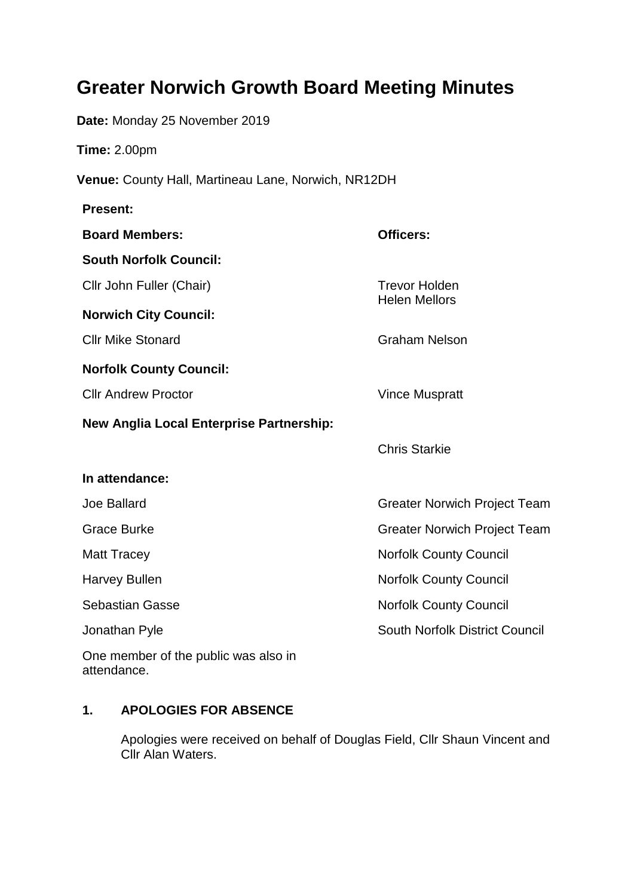# **Greater Norwich Growth Board Meeting Minutes**

**Date:** Monday 25 November 2019

**Time:** 2.00pm

**Venue:** County Hall, Martineau Lane, Norwich, NR12DH

| <b>Present:</b>                                     |                                              |
|-----------------------------------------------------|----------------------------------------------|
| <b>Board Members:</b>                               | <b>Officers:</b>                             |
| <b>South Norfolk Council:</b>                       |                                              |
| Cllr John Fuller (Chair)                            | <b>Trevor Holden</b><br><b>Helen Mellors</b> |
| <b>Norwich City Council:</b>                        |                                              |
| <b>Cllr Mike Stonard</b>                            | <b>Graham Nelson</b>                         |
| <b>Norfolk County Council:</b>                      |                                              |
| <b>Cllr Andrew Proctor</b>                          | <b>Vince Muspratt</b>                        |
| <b>New Anglia Local Enterprise Partnership:</b>     |                                              |
|                                                     | <b>Chris Starkie</b>                         |
| In attendance:                                      |                                              |
| Joe Ballard                                         | <b>Greater Norwich Project Team</b>          |
| <b>Grace Burke</b>                                  | <b>Greater Norwich Project Team</b>          |
| <b>Matt Tracey</b>                                  | <b>Norfolk County Council</b>                |
| <b>Harvey Bullen</b>                                | <b>Norfolk County Council</b>                |
| <b>Sebastian Gasse</b>                              | <b>Norfolk County Council</b>                |
| Jonathan Pyle                                       | South Norfolk District Council               |
| One member of the public was also in<br>attendance. |                                              |

## **1. APOLOGIES FOR ABSENCE**

Apologies were received on behalf of Douglas Field, Cllr Shaun Vincent and Cllr Alan Waters.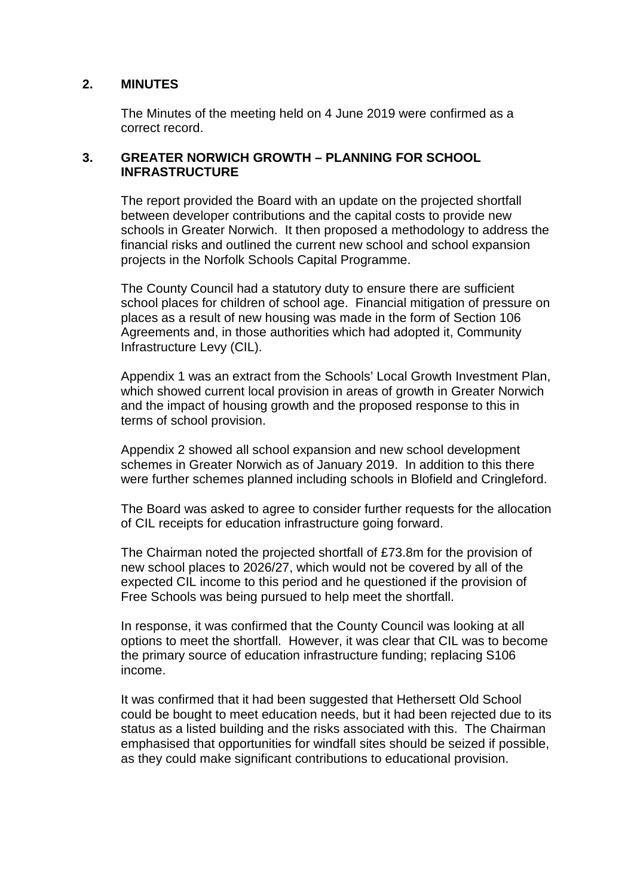#### **2. MINUTES**

The Minutes of the meeting held on 4 June 2019 were confirmed as a correct record.

#### **3. GREATER NORWICH GROWTH – PLANNING FOR SCHOOL INFRASTRUCTURE**

The report provided the Board with an update on the projected shortfall between developer contributions and the capital costs to provide new schools in Greater Norwich. It then proposed a methodology to address the financial risks and outlined the current new school and school expansion projects in the Norfolk Schools Capital Programme.

The County Council had a statutory duty to ensure there are sufficient school places for children of school age. Financial mitigation of pressure on places as a result of new housing was made in the form of Section 106 Agreements and, in those authorities which had adopted it, Community Infrastructure Levy (CIL).

Appendix 1 was an extract from the Schools' Local Growth Investment Plan, which showed current local provision in areas of growth in Greater Norwich and the impact of housing growth and the proposed response to this in terms of school provision.

Appendix 2 showed all school expansion and new school development schemes in Greater Norwich as of January 2019. In addition to this there were further schemes planned including schools in Blofield and Cringleford.

The Board was asked to agree to consider further requests for the allocation of CIL receipts for education infrastructure going forward.

The Chairman noted the projected shortfall of £73.8m for the provision of new school places to 2026/27, which would not be covered by all of the expected CIL income to this period and he questioned if the provision of Free Schools was being pursued to help meet the shortfall.

In response, it was confirmed that the County Council was looking at all options to meet the shortfall. However, it was clear that CIL was to become the primary source of education infrastructure funding; replacing S106 income.

It was confirmed that it had been suggested that Hethersett Old School could be bought to meet education needs, but it had been rejected due to its status as a listed building and the risks associated with this. The Chairman emphasised that opportunities for windfall sites should be seized if possible, as they could make significant contributions to educational provision.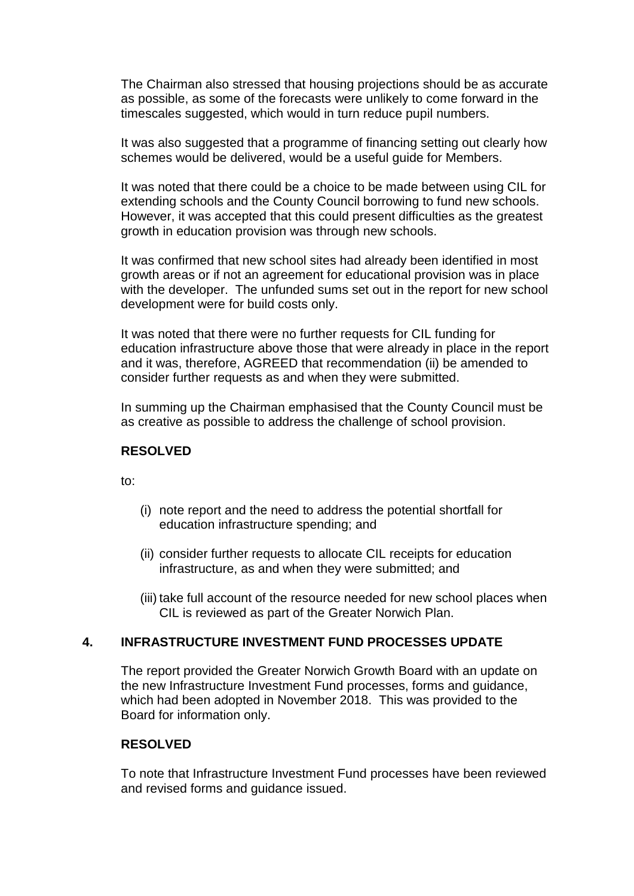The Chairman also stressed that housing projections should be as accurate as possible, as some of the forecasts were unlikely to come forward in the timescales suggested, which would in turn reduce pupil numbers.

It was also suggested that a programme of financing setting out clearly how schemes would be delivered, would be a useful guide for Members.

It was noted that there could be a choice to be made between using CIL for extending schools and the County Council borrowing to fund new schools. However, it was accepted that this could present difficulties as the greatest growth in education provision was through new schools.

It was confirmed that new school sites had already been identified in most growth areas or if not an agreement for educational provision was in place with the developer. The unfunded sums set out in the report for new school development were for build costs only.

It was noted that there were no further requests for CIL funding for education infrastructure above those that were already in place in the report and it was, therefore, AGREED that recommendation (ii) be amended to consider further requests as and when they were submitted.

In summing up the Chairman emphasised that the County Council must be as creative as possible to address the challenge of school provision.

#### **RESOLVED**

to:

- (i) note report and the need to address the potential shortfall for education infrastructure spending; and
- (ii) consider further requests to allocate CIL receipts for education infrastructure, as and when they were submitted; and
- (iii) take full account of the resource needed for new school places when CIL is reviewed as part of the Greater Norwich Plan.

#### **4. INFRASTRUCTURE INVESTMENT FUND PROCESSES UPDATE**

The report provided the Greater Norwich Growth Board with an update on the new Infrastructure Investment Fund processes, forms and guidance, which had been adopted in November 2018. This was provided to the Board for information only.

#### **RESOLVED**

To note that Infrastructure Investment Fund processes have been reviewed and revised forms and guidance issued.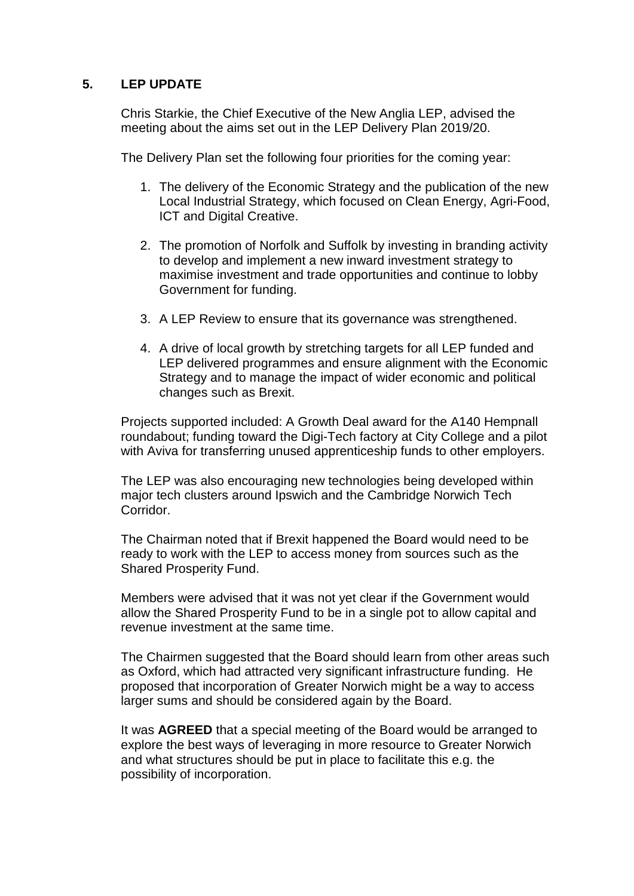#### **5. LEP UPDATE**

Chris Starkie, the Chief Executive of the New Anglia LEP, advised the meeting about the aims set out in the LEP Delivery Plan 2019/20.

The Delivery Plan set the following four priorities for the coming year:

- 1. The delivery of the Economic Strategy and the publication of the new Local Industrial Strategy, which focused on Clean Energy, Agri-Food, ICT and Digital Creative.
- 2. The promotion of Norfolk and Suffolk by investing in branding activity to develop and implement a new inward investment strategy to maximise investment and trade opportunities and continue to lobby Government for funding.
- 3. A LEP Review to ensure that its governance was strengthened.
- 4. A drive of local growth by stretching targets for all LEP funded and LEP delivered programmes and ensure alignment with the Economic Strategy and to manage the impact of wider economic and political changes such as Brexit.

Projects supported included: A Growth Deal award for the A140 Hempnall roundabout; funding toward the Digi-Tech factory at City College and a pilot with Aviva for transferring unused apprenticeship funds to other employers.

The LEP was also encouraging new technologies being developed within major tech clusters around Ipswich and the Cambridge Norwich Tech Corridor.

The Chairman noted that if Brexit happened the Board would need to be ready to work with the LEP to access money from sources such as the Shared Prosperity Fund.

Members were advised that it was not yet clear if the Government would allow the Shared Prosperity Fund to be in a single pot to allow capital and revenue investment at the same time.

The Chairmen suggested that the Board should learn from other areas such as Oxford, which had attracted very significant infrastructure funding. He proposed that incorporation of Greater Norwich might be a way to access larger sums and should be considered again by the Board.

It was **AGREED** that a special meeting of the Board would be arranged to explore the best ways of leveraging in more resource to Greater Norwich and what structures should be put in place to facilitate this e.g. the possibility of incorporation.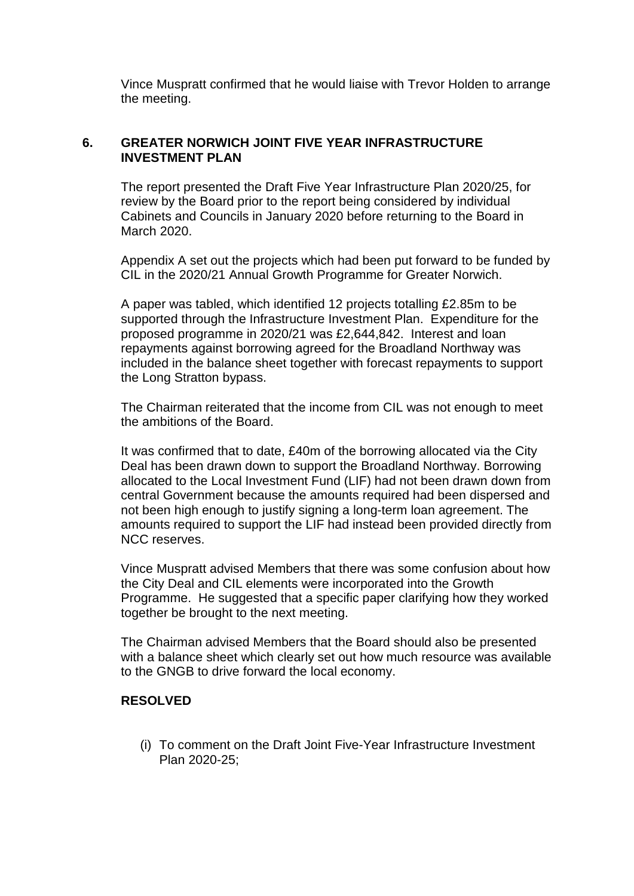Vince Muspratt confirmed that he would liaise with Trevor Holden to arrange the meeting.

### **6. GREATER NORWICH JOINT FIVE YEAR INFRASTRUCTURE INVESTMENT PLAN**

The report presented the Draft Five Year Infrastructure Plan 2020/25, for review by the Board prior to the report being considered by individual Cabinets and Councils in January 2020 before returning to the Board in March 2020.

Appendix A set out the projects which had been put forward to be funded by CIL in the 2020/21 Annual Growth Programme for Greater Norwich.

A paper was tabled, which identified 12 projects totalling £2.85m to be supported through the Infrastructure Investment Plan. Expenditure for the proposed programme in 2020/21 was £2,644,842. Interest and loan repayments against borrowing agreed for the Broadland Northway was included in the balance sheet together with forecast repayments to support the Long Stratton bypass.

The Chairman reiterated that the income from CIL was not enough to meet the ambitions of the Board.

It was confirmed that to date, £40m of the borrowing allocated via the City Deal has been drawn down to support the Broadland Northway. Borrowing allocated to the Local Investment Fund (LIF) had not been drawn down from central Government because the amounts required had been dispersed and not been high enough to justify signing a long-term loan agreement. The amounts required to support the LIF had instead been provided directly from NCC reserves.

Vince Muspratt advised Members that there was some confusion about how the City Deal and CIL elements were incorporated into the Growth Programme. He suggested that a specific paper clarifying how they worked together be brought to the next meeting.

The Chairman advised Members that the Board should also be presented with a balance sheet which clearly set out how much resource was available to the GNGB to drive forward the local economy.

#### **RESOLVED**

(i) To comment on the Draft Joint Five-Year Infrastructure Investment Plan 2020-25;